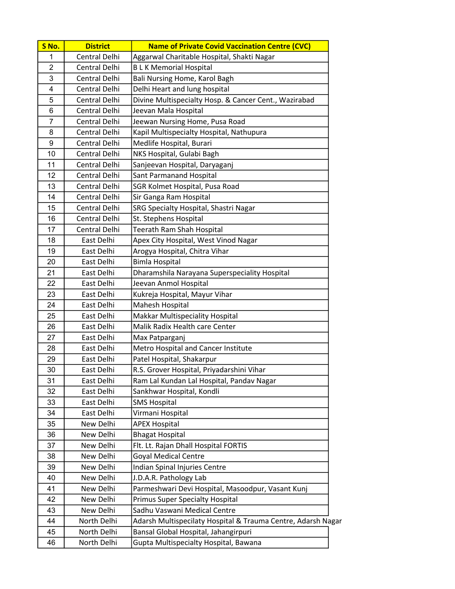| S No.          | <b>District</b>      | <b>Name of Private Covid Vaccination Centre (CVC)</b>        |
|----------------|----------------------|--------------------------------------------------------------|
| 1              | Central Delhi        | Aggarwal Charitable Hospital, Shakti Nagar                   |
| $\overline{2}$ | Central Delhi        | <b>BLK Memorial Hospital</b>                                 |
| 3              | Central Delhi        | Bali Nursing Home, Karol Bagh                                |
| 4              | Central Delhi        | Delhi Heart and lung hospital                                |
| 5              | Central Delhi        | Divine Multispecialty Hosp. & Cancer Cent., Wazirabad        |
| 6              | Central Delhi        | Jeevan Mala Hospital                                         |
| 7              | Central Delhi        | Jeewan Nursing Home, Pusa Road                               |
| 8              | Central Delhi        | Kapil Multispecialty Hospital, Nathupura                     |
| 9              | Central Delhi        | Medlife Hospital, Burari                                     |
| 10             | Central Delhi        | NKS Hospital, Gulabi Bagh                                    |
| 11             | Central Delhi        | Sanjeevan Hospital, Daryaganj                                |
| 12             | Central Delhi        | Sant Parmanand Hospital                                      |
| 13             | <b>Central Delhi</b> | SGR Kolmet Hospital, Pusa Road                               |
| 14             | Central Delhi        | Sir Ganga Ram Hospital                                       |
| 15             | Central Delhi        | SRG Specialty Hospital, Shastri Nagar                        |
| 16             | Central Delhi        | St. Stephens Hospital                                        |
| 17             | Central Delhi        | Teerath Ram Shah Hospital                                    |
| 18             | East Delhi           | Apex City Hospital, West Vinod Nagar                         |
| 19             | East Delhi           | Arogya Hospital, Chitra Vihar                                |
| 20             | East Delhi           | <b>Bimla Hospital</b>                                        |
| 21             | East Delhi           | Dharamshila Narayana Superspeciality Hospital                |
| 22             | East Delhi           | Jeevan Anmol Hospital                                        |
| 23             | East Delhi           | Kukreja Hospital, Mayur Vihar                                |
| 24             | East Delhi           | Mahesh Hospital                                              |
| 25             | East Delhi           | Makkar Multispeciality Hospital                              |
| 26             | East Delhi           | Malik Radix Health care Center                               |
| 27             | East Delhi           | Max Patparganj                                               |
| 28             | East Delhi           | Metro Hospital and Cancer Institute                          |
| 29             | East Delhi           | Patel Hospital, Shakarpur                                    |
| 30             | East Delhi           | R.S. Grover Hospital, Priyadarshini Vihar                    |
| 31             | East Delhi           | Ram Lal Kundan Lal Hospital, Pandav Nagar                    |
| 32             | East Delhi           | Sankhwar Hospital, Kondli                                    |
| 33             | East Delhi           | <b>SMS Hospital</b>                                          |
| 34             | East Delhi           | Virmani Hospital                                             |
| 35             | New Delhi            | <b>APEX Hospital</b>                                         |
| 36             | New Delhi            | <b>Bhagat Hospital</b>                                       |
| 37             | New Delhi            | Flt. Lt. Rajan Dhall Hospital FORTIS                         |
| 38             | New Delhi            | <b>Goyal Medical Centre</b>                                  |
| 39             | New Delhi            | Indian Spinal Injuries Centre                                |
| 40             | New Delhi            | J.D.A.R. Pathology Lab                                       |
| 41             | New Delhi            | Parmeshwari Devi Hospital, Masoodpur, Vasant Kunj            |
| 42             | New Delhi            | <b>Primus Super Specialty Hospital</b>                       |
| 43             | New Delhi            | Sadhu Vaswani Medical Centre                                 |
| 44             | North Delhi          | Adarsh Multispecilaty Hospital & Trauma Centre, Adarsh Nagar |
| 45             | North Delhi          | Bansal Global Hospital, Jahangirpuri                         |
| 46             | North Delhi          | Gupta Multispecialty Hospital, Bawana                        |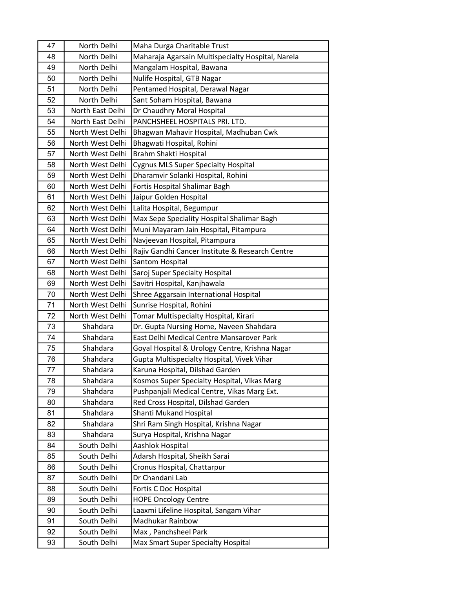| 47 | North Delhi      | Maha Durga Charitable Trust                       |
|----|------------------|---------------------------------------------------|
| 48 | North Delhi      | Maharaja Agarsain Multispecialty Hospital, Narela |
| 49 | North Delhi      | Mangalam Hospital, Bawana                         |
| 50 | North Delhi      | Nulife Hospital, GTB Nagar                        |
| 51 | North Delhi      | Pentamed Hospital, Derawal Nagar                  |
| 52 | North Delhi      | Sant Soham Hospital, Bawana                       |
| 53 | North East Delhi | Dr Chaudhry Moral Hospital                        |
| 54 | North East Delhi | PANCHSHEEL HOSPITALS PRI. LTD.                    |
| 55 | North West Delhi | Bhagwan Mahavir Hospital, Madhuban Cwk            |
| 56 | North West Delhi | Bhagwati Hospital, Rohini                         |
| 57 | North West Delhi | Brahm Shakti Hospital                             |
| 58 | North West Delhi | <b>Cygnus MLS Super Specialty Hospital</b>        |
| 59 | North West Delhi | Dharamvir Solanki Hospital, Rohini                |
| 60 | North West Delhi | Fortis Hospital Shalimar Bagh                     |
| 61 | North West Delhi | Jaipur Golden Hospital                            |
| 62 | North West Delhi | Lalita Hospital, Begumpur                         |
| 63 | North West Delhi | Max Sepe Speciality Hospital Shalimar Bagh        |
| 64 | North West Delhi | Muni Mayaram Jain Hospital, Pitampura             |
| 65 | North West Delhi | Navjeevan Hospital, Pitampura                     |
| 66 | North West Delhi | Rajiv Gandhi Cancer Institute & Research Centre   |
| 67 | North West Delhi | Santom Hospital                                   |
| 68 | North West Delhi | Saroj Super Specialty Hospital                    |
| 69 | North West Delhi | Savitri Hospital, Kanjhawala                      |
| 70 | North West Delhi | Shree Aggarsain International Hospital            |
| 71 | North West Delhi | Sunrise Hospital, Rohini                          |
| 72 | North West Delhi | Tomar Multispecialty Hospital, Kirari             |
| 73 | Shahdara         | Dr. Gupta Nursing Home, Naveen Shahdara           |
| 74 | Shahdara         | East Delhi Medical Centre Mansarover Park         |
| 75 | Shahdara         | Goyal Hospital & Urology Centre, Krishna Nagar    |
| 76 | Shahdara         | Gupta Multispecialty Hospital, Vivek Vihar        |
| 77 | Shahdara         | Karuna Hospital, Dilshad Garden                   |
| 78 | Shahdara         | Kosmos Super Specialty Hospital, Vikas Marg       |
| 79 | Shahdara         | Pushpanjali Medical Centre, Vikas Marg Ext.       |
| 80 | Shahdara         | Red Cross Hospital, Dilshad Garden                |
| 81 | Shahdara         | Shanti Mukand Hospital                            |
| 82 | Shahdara         | Shri Ram Singh Hospital, Krishna Nagar            |
| 83 | Shahdara         | Surya Hospital, Krishna Nagar                     |
| 84 | South Delhi      | Aashlok Hospital                                  |
| 85 | South Delhi      | Adarsh Hospital, Sheikh Sarai                     |
| 86 | South Delhi      | Cronus Hospital, Chattarpur                       |
| 87 | South Delhi      | Dr Chandani Lab                                   |
| 88 | South Delhi      | Fortis C Doc Hospital                             |
| 89 | South Delhi      | <b>HOPE Oncology Centre</b>                       |
| 90 | South Delhi      | Laaxmi Lifeline Hospital, Sangam Vihar            |
| 91 | South Delhi      | Madhukar Rainbow                                  |
| 92 | South Delhi      | Max, Panchsheel Park                              |
| 93 | South Delhi      | Max Smart Super Specialty Hospital                |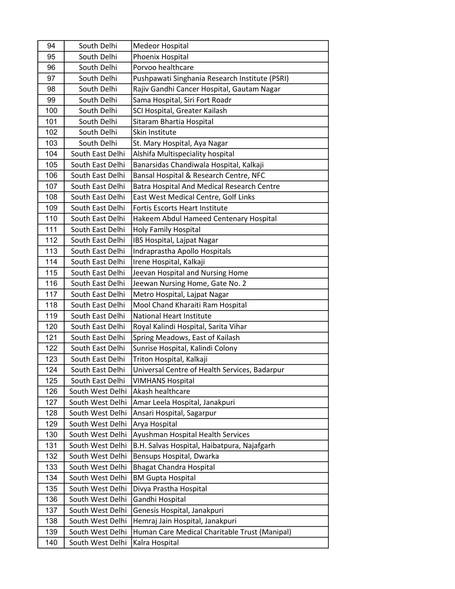| 94  | South Delhi      | <b>Medeor Hospital</b>                         |
|-----|------------------|------------------------------------------------|
| 95  | South Delhi      | Phoenix Hospital                               |
| 96  | South Delhi      | Porvoo healthcare                              |
| 97  | South Delhi      | Pushpawati Singhania Research Institute (PSRI) |
| 98  | South Delhi      | Rajiv Gandhi Cancer Hospital, Gautam Nagar     |
| 99  | South Delhi      | Sama Hospital, Siri Fort Roadr                 |
| 100 | South Delhi      | SCI Hospital, Greater Kailash                  |
| 101 | South Delhi      | Sitaram Bhartia Hospital                       |
| 102 | South Delhi      | Skin Institute                                 |
| 103 | South Delhi      | St. Mary Hospital, Aya Nagar                   |
| 104 | South East Delhi | Alshifa Multispeciality hospital               |
| 105 | South East Delhi | Banarsidas Chandiwala Hospital, Kalkaji        |
| 106 | South East Delhi | Bansal Hospital & Research Centre, NFC         |
| 107 | South East Delhi | Batra Hospital And Medical Research Centre     |
| 108 | South East Delhi | East West Medical Centre, Golf Links           |
| 109 | South East Delhi | <b>Fortis Escorts Heart Institute</b>          |
| 110 | South East Delhi | Hakeem Abdul Hameed Centenary Hospital         |
| 111 | South East Delhi | <b>Holy Family Hospital</b>                    |
| 112 | South East Delhi | IBS Hospital, Lajpat Nagar                     |
| 113 | South East Delhi | Indraprastha Apollo Hospitals                  |
| 114 | South East Delhi | Irene Hospital, Kalkaji                        |
| 115 | South East Delhi | Jeevan Hospital and Nursing Home               |
| 116 | South East Delhi | Jeewan Nursing Home, Gate No. 2                |
| 117 | South East Delhi | Metro Hospital, Lajpat Nagar                   |
| 118 | South East Delhi | Mool Chand Kharaiti Ram Hospital               |
| 119 | South East Delhi | <b>National Heart Institute</b>                |
| 120 | South East Delhi | Royal Kalindi Hospital, Sarita Vihar           |
| 121 | South East Delhi | Spring Meadows, East of Kailash                |
| 122 | South East Delhi | Sunrise Hospital, Kalindi Colony               |
| 123 | South East Delhi | Triton Hospital, Kalkaji                       |
| 124 | South East Delhi | Universal Centre of Health Services, Badarpur  |
| 125 | South East Delhi | <b>VIMHANS Hospital</b>                        |
| 126 | South West Delhi | Akash healthcare                               |
| 127 | South West Delhi | Amar Leela Hospital, Janakpuri                 |
| 128 | South West Delhi | Ansari Hospital, Sagarpur                      |
| 129 | South West Delhi | Arya Hospital                                  |
| 130 | South West Delhi | Ayushman Hospital Health Services              |
| 131 | South West Delhi | B.H. Salvas Hospital, Haibatpura, Najafgarh    |
| 132 | South West Delhi | Bensups Hospital, Dwarka                       |
| 133 | South West Delhi | <b>Bhagat Chandra Hospital</b>                 |
| 134 | South West Delhi | <b>BM Gupta Hospital</b>                       |
| 135 | South West Delhi | Divya Prastha Hospital                         |
| 136 | South West Delhi | Gandhi Hospital                                |
| 137 | South West Delhi | Genesis Hospital, Janakpuri                    |
| 138 | South West Delhi | Hemraj Jain Hospital, Janakpuri                |
| 139 | South West Delhi | Human Care Medical Charitable Trust (Manipal)  |
| 140 | South West Delhi | Kalra Hospital                                 |